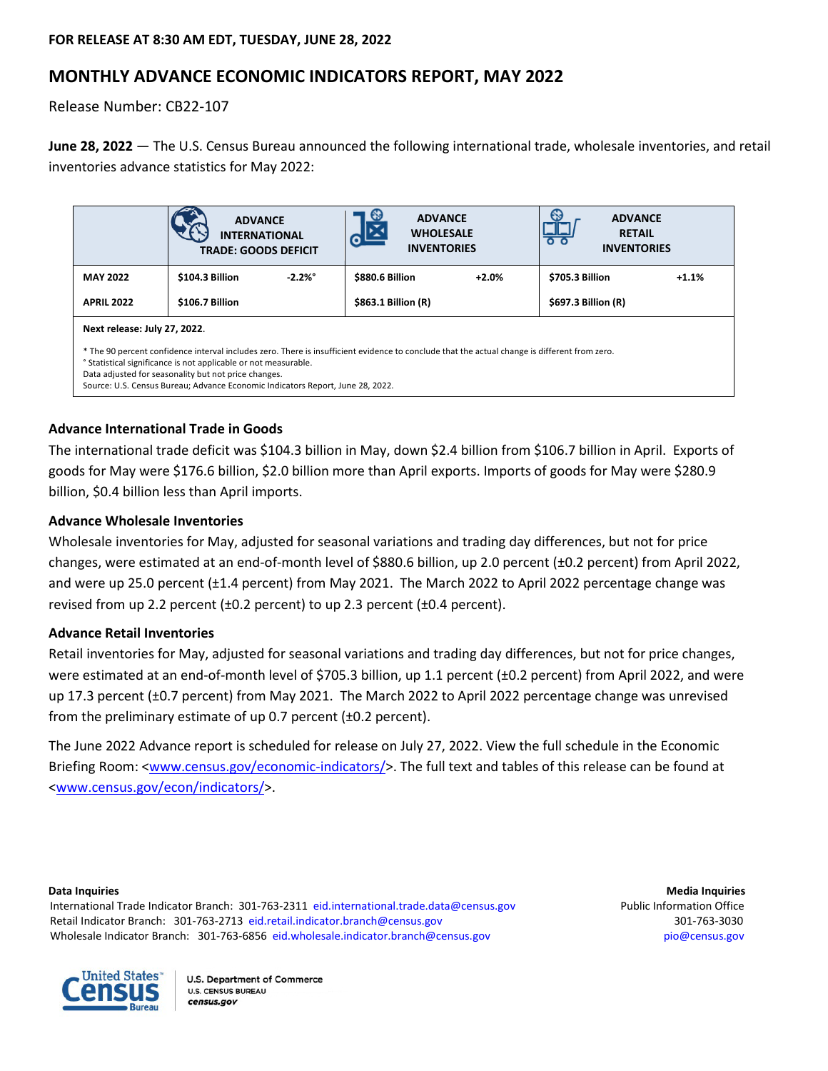# **MONTHLY ADVANCE ECONOMIC INDICATORS REPORT, MAY 2022**

Release Number: CB22-107

**June 28, 2022** — The U.S. Census Bureau announced the following international trade, wholesale inventories, and retail inventories advance statistics for May 2022:

|                                                                                                                                                                                                                                                                                                                                                            | <b>ADVANCE</b><br><b>INTERNATIONAL</b><br><b>TRADE: GOODS DEFICIT</b> | $\mathbf{e}$<br><b>ADVANCE</b><br><b>WHOLESALE</b><br>$\boldsymbol{C}^r$<br><b>INVENTORIES</b> | €9<br><b>ADVANCE</b><br><b>RETAIL</b><br>$\circ$ $\circ$<br><b>INVENTORIES</b> |  |  |  |  |  |
|------------------------------------------------------------------------------------------------------------------------------------------------------------------------------------------------------------------------------------------------------------------------------------------------------------------------------------------------------------|-----------------------------------------------------------------------|------------------------------------------------------------------------------------------------|--------------------------------------------------------------------------------|--|--|--|--|--|
| <b>MAY 2022</b>                                                                                                                                                                                                                                                                                                                                            | \$104.3 Billion<br>$-2.2\%$ °                                         | \$880.6 Billion<br>$+2.0%$                                                                     | \$705.3 Billion<br>$+1.1%$                                                     |  |  |  |  |  |
| <b>APRIL 2022</b>                                                                                                                                                                                                                                                                                                                                          | \$106.7 Billion                                                       | \$863.1 Billion (R)                                                                            | \$697.3 Billion (R)                                                            |  |  |  |  |  |
| Next release: July 27, 2022.                                                                                                                                                                                                                                                                                                                               |                                                                       |                                                                                                |                                                                                |  |  |  |  |  |
| * The 90 percent confidence interval includes zero. There is insufficient evidence to conclude that the actual change is different from zero.<br>° Statistical significance is not applicable or not measurable.<br>Data adjusted for seasonality but not price changes.<br>Source: U.S. Census Bureau; Advance Economic Indicators Report, June 28, 2022. |                                                                       |                                                                                                |                                                                                |  |  |  |  |  |

# **Advance International Trade in Goods**

The international trade deficit was \$104.3 billion in May, down \$2.4 billion from \$106.7 billion in April. Exports of goods for May were \$176.6 billion, \$2.0 billion more than April exports. Imports of goods for May were \$280.9 billion, \$0.4 billion less than April imports.

# **Advance Wholesale Inventories**

Wholesale inventories for May, adjusted for seasonal variations and trading day differences, but not for price changes, were estimated at an end-of-month level of \$880.6 billion, up 2.0 percent (±0.2 percent) from April 2022, and were up 25.0 percent (±1.4 percent) from May 2021. The March 2022 to April 2022 percentage change was revised from up 2.2 percent (±0.2 percent) to up 2.3 percent (±0.4 percent).

# **Advance Retail Inventories**

Retail inventories for May, adjusted for seasonal variations and trading day differences, but not for price changes, were estimated at an end-of-month level of \$705.3 billion, up 1.1 percent (±0.2 percent) from April 2022, and were up 17.3 percent (±0.7 percent) from May 2021. The March 2022 to April 2022 percentage change was unrevised from the preliminary estimate of up 0.7 percent (±0.2 percent).

The June 2022 Advance report is scheduled for release on July 27, 2022. View the full schedule in the Economic Briefing Room: [<www.census.gov/economic-indicators/>](http://www.census.gov/economic-indicators/). The full text and tables of this release can be found at [<www.census.gov/econ/indicators/>](https://www.census.gov/econ/indicators/).

International Trade Indicator Branch: 301-763-2311 [eid.international.trade.data@census.gov](mailto:eid.international.trade.data@census.gov) Public Information Office Retail Indicator Branch: 301-763-2713 [eid.retail.indicator.branch@census.gov](mailto:eid.retail.indicator.branch@census.gov) 301-763-3030 301-763-3030 Wholesale Indicator Branch: 301-763-6856 [eid.wholesale.indicator.branch@census.gov](mailto:eid.wholesale.indicator.branch@census.gov) [pio@census.gov](mailto:pio@census.gov) pio@census.gov

**Data Inquiries Media Inquiries**

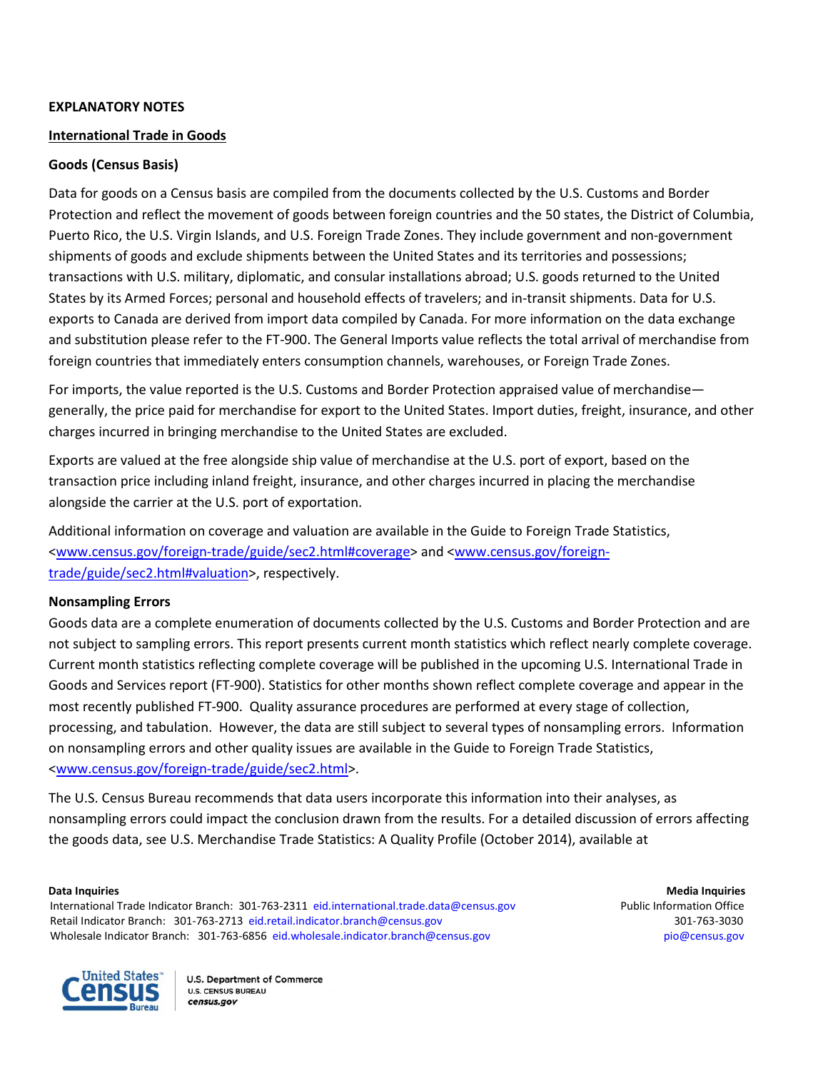## **EXPLANATORY NOTES**

## **International Trade in Goods**

## **Goods (Census Basis)**

Data for goods on a Census basis are compiled from the documents collected by the U.S. Customs and Border Protection and reflect the movement of goods between foreign countries and the 50 states, the District of Columbia, Puerto Rico, the U.S. Virgin Islands, and U.S. Foreign Trade Zones. They include government and non-government shipments of goods and exclude shipments between the United States and its territories and possessions; transactions with U.S. military, diplomatic, and consular installations abroad; U.S. goods returned to the United States by its Armed Forces; personal and household effects of travelers; and in-transit shipments. Data for U.S. exports to Canada are derived from import data compiled by Canada. For more information on the data exchange and substitution please refer to the FT-900. The General Imports value reflects the total arrival of merchandise from foreign countries that immediately enters consumption channels, warehouses, or Foreign Trade Zones.

For imports, the value reported is the U.S. Customs and Border Protection appraised value of merchandise generally, the price paid for merchandise for export to the United States. Import duties, freight, insurance, and other charges incurred in bringing merchandise to the United States are excluded.

Exports are valued at the free alongside ship value of merchandise at the U.S. port of export, based on the transaction price including inland freight, insurance, and other charges incurred in placing the merchandise alongside the carrier at the U.S. port of exportation.

Additional information on coverage and valuation are available in the Guide to Foreign Trade Statistics, [<www.census.gov/foreign-trade/guide/sec2.html#coverage>](https://www.census.gov/foreign-trade/guide/sec2.html#coverage) an[d <www.census.gov/foreign](https://www.census.gov/foreign-trade/guide/sec2.html#valuation)[trade/guide/sec2.html#valuation>](https://www.census.gov/foreign-trade/guide/sec2.html#valuation), respectively.

# **Nonsampling Errors**

Goods data are a complete enumeration of documents collected by the U.S. Customs and Border Protection and are not subject to sampling errors. This report presents current month statistics which reflect nearly complete coverage. Current month statistics reflecting complete coverage will be published in the upcoming U.S. International Trade in Goods and Services report (FT-900). Statistics for other months shown reflect complete coverage and appear in the most recently published FT-900. Quality assurance procedures are performed at every stage of collection, processing, and tabulation. However, the data are still subject to several types of nonsampling errors. Information on nonsampling errors and other quality issues are available in the Guide to Foreign Trade Statistics, [<www.census.gov/foreign-trade/guide/sec2.html>](https://www.census.gov/foreign-trade/guide/sec2.html).

The U.S. Census Bureau recommends that data users incorporate this information into their analyses, as nonsampling errors could impact the conclusion drawn from the results. For a detailed discussion of errors affecting the goods data, see U.S. Merchandise Trade Statistics: A Quality Profile (October 2014), available at

International Trade Indicator Branch: 301-763-2311 [eid.international.trade.data@census.gov](mailto:eid.international.trade.data@census.gov) Public Information Office Retail Indicator Branch: 301-763-2713 [eid.retail.indicator.branch@census.gov](mailto:eid.retail.indicator.branch@census.gov) 301-763-3030 301-763-3030 Wholesale Indicator Branch: 301-763-6856 [eid.wholesale.indicator.branch@census.gov](mailto:eid.wholesale.indicator.branch@census.gov) [pio@census.gov](mailto:pio@census.gov) pio@census.gov

**Data Inquiries Media Inquiries**

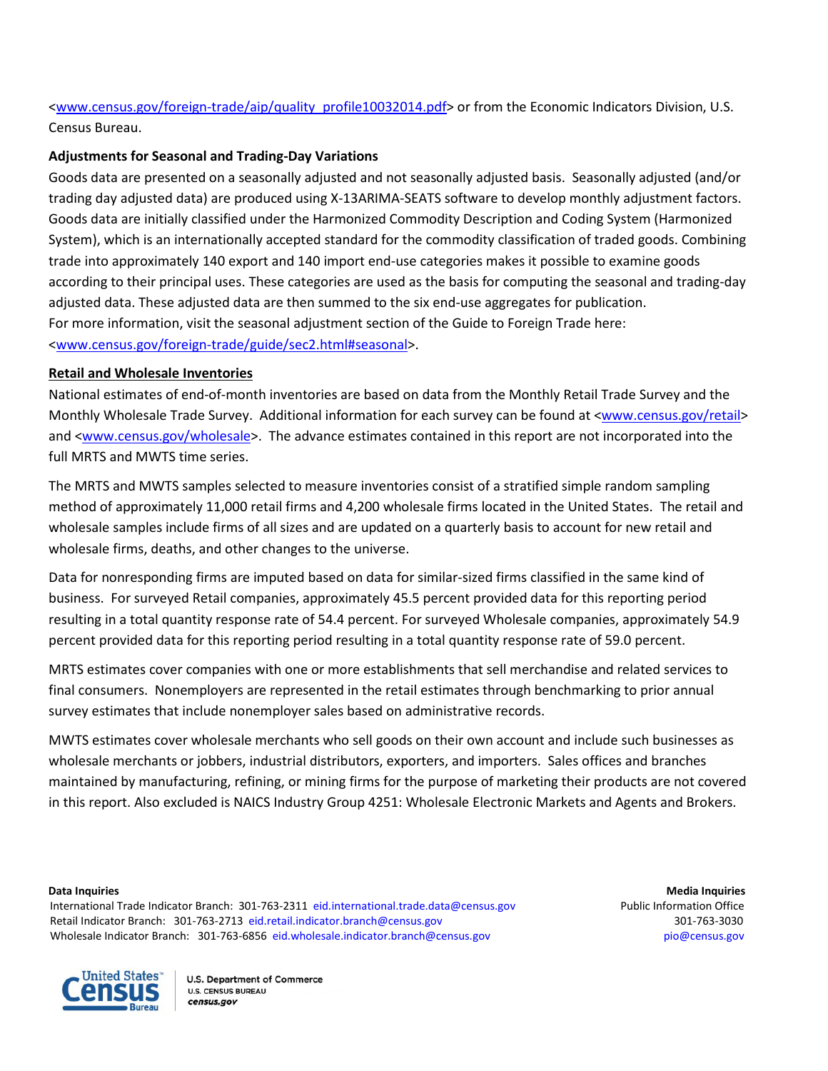[<www.census.gov/foreign-trade/aip/quality\\_profile10032014.pdf>](https://www.census.gov/foreign-trade/aip/quality_profile10032014.pdf) or from the Economic Indicators Division, U.S. Census Bureau.

# **Adjustments for Seasonal and Trading-Day Variations**

Goods data are presented on a seasonally adjusted and not seasonally adjusted basis. Seasonally adjusted (and/or trading day adjusted data) are produced using X-13ARIMA-SEATS software to develop monthly adjustment factors. Goods data are initially classified under the Harmonized Commodity Description and Coding System (Harmonized System), which is an internationally accepted standard for the commodity classification of traded goods. Combining trade into approximately 140 export and 140 import end-use categories makes it possible to examine goods according to their principal uses. These categories are used as the basis for computing the seasonal and trading-day adjusted data. These adjusted data are then summed to the six end-use aggregates for publication. For more information, visit the seasonal adjustment section of the Guide to Foreign Trade here: [<www.census.gov/foreign-trade/guide/sec2.html#seasonal>](https://www.census.gov/foreign-trade/guide/sec2.html#seasonal).

# **Retail and Wholesale Inventories**

National estimates of end-of-month inventories are based on data from the Monthly Retail Trade Survey and the Monthly Wholesale Trade Survey. Additional information for each survey can be found at [<www.census.gov/retail>](https://www.census.gov/retail) and [<www.census.gov/wholesale>](https://www.census.gov/wholesale). The advance estimates contained in this report are not incorporated into the full MRTS and MWTS time series.

The MRTS and MWTS samples selected to measure inventories consist of a stratified simple random sampling method of approximately 11,000 retail firms and 4,200 wholesale firms located in the United States.The retail and wholesale samples include firms of all sizes and are updated on a quarterly basis to account for new retail and wholesale firms, deaths, and other changes to the universe.

Data for nonresponding firms are imputed based on data for similar-sized firms classified in the same kind of business. For surveyed Retail companies, approximately 45.5 percent provided data for this reporting period resulting in a total quantity response rate of 54.4 percent. For surveyed Wholesale companies, approximately 54.9 percent provided data for this reporting period resulting in a total quantity response rate of 59.0 percent.

MRTS estimates cover companies with one or more establishments that sell merchandise and related services to final consumers. Nonemployers are represented in the retail estimates through benchmarking to prior annual survey estimates that include nonemployer sales based on administrative records.

MWTS estimates cover wholesale merchants who sell goods on their own account and include such businesses as wholesale merchants or jobbers, industrial distributors, exporters, and importers. Sales offices and branches maintained by manufacturing, refining, or mining firms for the purpose of marketing their products are not covered in this report. Also excluded is NAICS Industry Group 4251: Wholesale Electronic Markets and Agents and Brokers.

International Trade Indicator Branch: 301-763-2311 [eid.international.trade.data@census.gov](mailto:eid.international.trade.data@census.gov) Public Information Office Retail Indicator Branch: 301-763-2713 [eid.retail.indicator.branch@census.gov](mailto:eid.retail.indicator.branch@census.gov) 301-763-3030 301-763-3030 Wholesale Indicator Branch: 301-763-6856 [eid.wholesale.indicator.branch@census.gov](mailto:eid.wholesale.indicator.branch@census.gov) [pio@census.gov](mailto:pio@census.gov) pio@census.gov

**Data Inquiries Media Inquiries**

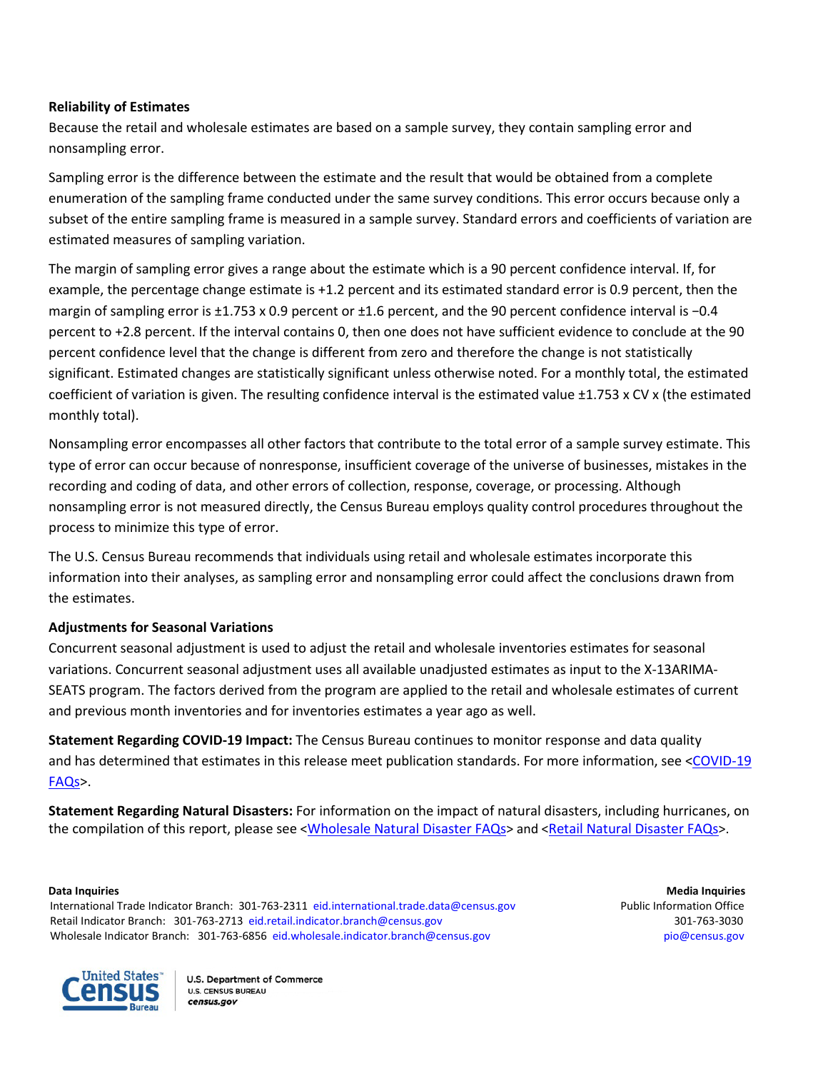# **Reliability of Estimates**

Because the retail and wholesale estimates are based on a sample survey, they contain sampling error and nonsampling error.

Sampling error is the difference between the estimate and the result that would be obtained from a complete enumeration of the sampling frame conducted under the same survey conditions. This error occurs because only a subset of the entire sampling frame is measured in a sample survey. Standard errors and coefficients of variation are estimated measures of sampling variation.

The margin of sampling error gives a range about the estimate which is a 90 percent confidence interval. If, for example, the percentage change estimate is +1.2 percent and its estimated standard error is 0.9 percent, then the margin of sampling error is ±1.753 x 0.9 percent or ±1.6 percent, and the 90 percent confidence interval is −0.4 percent to +2.8 percent. If the interval contains 0, then one does not have sufficient evidence to conclude at the 90 percent confidence level that the change is different from zero and therefore the change is not statistically significant. Estimated changes are statistically significant unless otherwise noted. For a monthly total, the estimated coefficient of variation is given. The resulting confidence interval is the estimated value ±1.753 x CV x (the estimated monthly total).

Nonsampling error encompasses all other factors that contribute to the total error of a sample survey estimate. This type of error can occur because of nonresponse, insufficient coverage of the universe of businesses, mistakes in the recording and coding of data, and other errors of collection, response, coverage, or processing. Although nonsampling error is not measured directly, the Census Bureau employs quality control procedures throughout the process to minimize this type of error.

The U.S. Census Bureau recommends that individuals using retail and wholesale estimates incorporate this information into their analyses, as sampling error and nonsampling error could affect the conclusions drawn from the estimates.

# **Adjustments for Seasonal Variations**

Concurrent seasonal adjustment is used to adjust the retail and wholesale inventories estimates for seasonal variations. Concurrent seasonal adjustment uses all available unadjusted estimates as input to the X-13ARIMA-SEATS program. The factors derived from the program are applied to the retail and wholesale estimates of current and previous month inventories and for inventories estimates a year ago as well.

**Statement Regarding COVID-19 Impact:** The Census Bureau continues to monitor response and data quality and has determined that estimates in this release meet publication standards. For more information, see <COVID-19 [FAQs>](https://www.census.gov/econ/indicators/2021/COVID19FAQSAEIR.pdf).

**Statement Regarding Natural Disasters:** For information on the impact of natural disasters, including hurricanes, on the compilation of this report, please see [<Wholesale Natural Disaster FAQs>](https://www.census.gov/wholesale/natural_disaster_faqs.html) and [<Retail Natural Disaster FAQs>](https://www.census.gov/retail/mrts_weather_faqs.html).

International Trade Indicator Branch: 301-763-2311 [eid.international.trade.data@census.gov](mailto:eid.international.trade.data@census.gov) Public Information Office Retail Indicator Branch: 301-763-2713 [eid.retail.indicator.branch@census.gov](mailto:eid.retail.indicator.branch@census.gov) 301-763-3030 301-763-3030 Wholesale Indicator Branch: 301-763-6856 [eid.wholesale.indicator.branch@census.gov](mailto:eid.wholesale.indicator.branch@census.gov) [pio@census.gov](mailto:pio@census.gov) pio@census.gov

**Data Inquiries Media Inquiries**

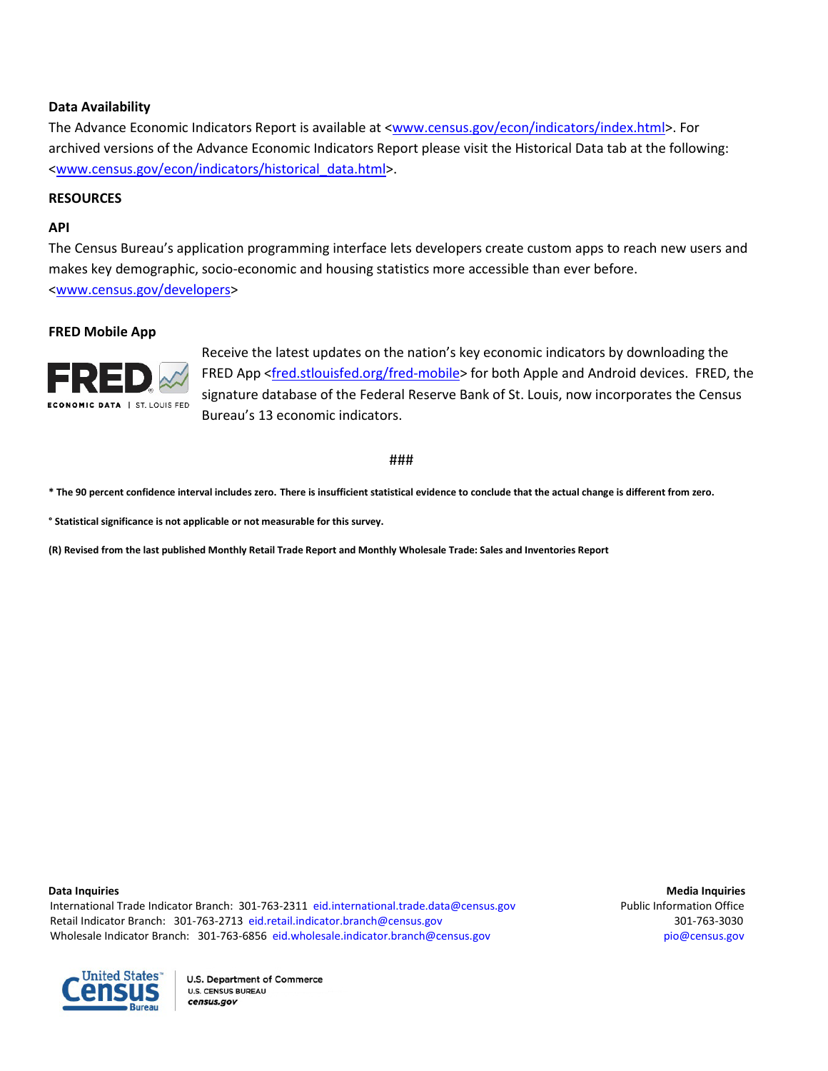## **Data Availability**

The Advance Economic Indicators Report is available a[t <www.census.gov/econ/indicators/index.html>](https://www.census.gov/econ/indicators/index.html). For archived versions of the Advance Economic Indicators Report please visit the Historical Data tab at the following: [<www.census.gov/econ/indicators/historical\\_data.html>](http://www.census.gov/econ/indicators/historical_data.html).

### **RESOURCES**

### **API**

The Census Bureau's application programming interface lets developers create custom apps to reach new users and makes key demographic, socio-economic and housing statistics more accessible than ever before. [<www.census.gov/developers>](http://www.census.gov/developers)

#### **FRED Mobile App**



Receive the latest updates on the nation's key economic indicators by downloading the FRED App [<fred.stlouisfed.org/fred-mobile>](https://fred.stlouisfed.org/fred-mobile/index.php?utm_source=census&utm_medium=pdf&utm_campaign=mobile_app) for both Apple and Android devices. FRED, the signature database of the Federal Reserve Bank of St. Louis, now incorporates the Census Bureau's 13 economic indicators.

#### ###

**\* The 90 percent confidence interval includes zero. There is insufficient statistical evidence to conclude that the actual change is different from zero.**

**° Statistical significance is not applicable or not measurable for this survey.**

**(R) Revised from the last published Monthly Retail Trade Report and Monthly Wholesale Trade: Sales and Inventories Report**

International Trade Indicator Branch: 301-763-2311 [eid.international.trade.data@census.gov](mailto:eid.international.trade.data@census.gov) Public Information Office Retail Indicator Branch: 301-763-2713 [eid.retail.indicator.branch@census.gov](mailto:eid.retail.indicator.branch@census.gov) 301-763-3030 301-763-3030 Wholesale Indicator Branch: 301-763-6856 [eid.wholesale.indicator.branch@census.gov](mailto:eid.wholesale.indicator.branch@census.gov) [pio@census.gov](mailto:pio@census.gov) pio@census.gov

**Data Inquiries Media Inquiries** Media Inquiries **Media Inquiries** Media Inquiries **Media Inquiries** 

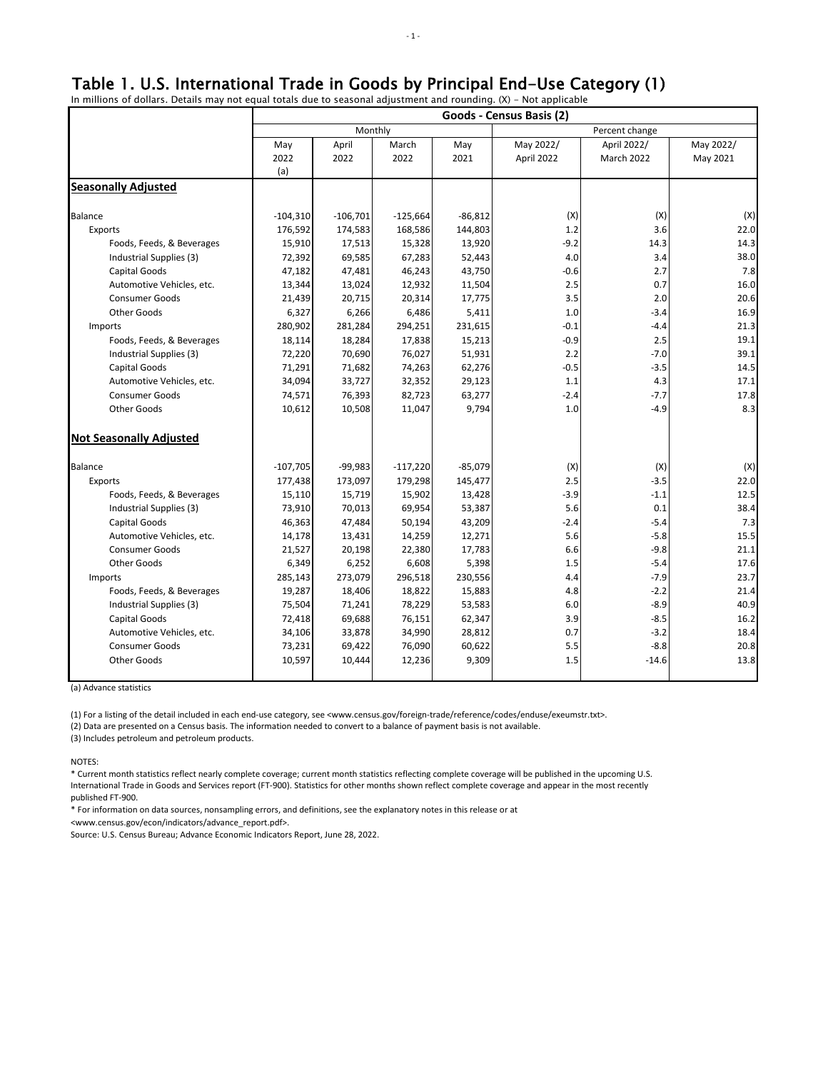# Table 1. U.S. International Trade in Goods by Principal End-Use Category (1)

In millions of dollars. Details may not equal totals due to seasonal adjustment and rounding. (X) - Not applicable

|                                | Goods - Census Basis (2) |            |            |           |                |             |           |  |
|--------------------------------|--------------------------|------------|------------|-----------|----------------|-------------|-----------|--|
|                                | Monthly                  |            |            |           | Percent change |             |           |  |
|                                | May                      | April      | March      | May       | May 2022/      | April 2022/ | May 2022/ |  |
|                                | 2022                     | 2022       | 2022       | 2021      | April 2022     | March 2022  | May 2021  |  |
|                                | (a)                      |            |            |           |                |             |           |  |
| <b>Seasonally Adjusted</b>     |                          |            |            |           |                |             |           |  |
| Balance                        | $-104,310$               | $-106,701$ | $-125,664$ | $-86,812$ | (X)            | (X)         | (X)       |  |
| Exports                        | 176,592                  | 174,583    | 168,586    | 144,803   | 1.2            | 3.6         | 22.0      |  |
| Foods, Feeds, & Beverages      | 15,910                   | 17,513     | 15,328     | 13,920    | $-9.2$         | 14.3        | 14.3      |  |
| Industrial Supplies (3)        | 72,392                   | 69,585     | 67,283     | 52,443    | 4.0            | 3.4         | 38.0      |  |
| Capital Goods                  | 47,182                   | 47,481     | 46,243     | 43,750    | $-0.6$         | 2.7         | 7.8       |  |
| Automotive Vehicles, etc.      | 13,344                   | 13,024     | 12,932     | 11,504    | 2.5            | 0.7         | 16.0      |  |
| <b>Consumer Goods</b>          | 21,439                   | 20,715     | 20,314     | 17,775    | 3.5            | 2.0         | 20.6      |  |
| Other Goods                    | 6,327                    | 6,266      | 6,486      | 5,411     | 1.0            | $-3.4$      | 16.9      |  |
| Imports                        | 280,902                  | 281,284    | 294,251    | 231,615   | $-0.1$         | $-4.4$      | 21.3      |  |
| Foods, Feeds, & Beverages      | 18,114                   | 18,284     | 17,838     | 15,213    | $-0.9$         | 2.5         | 19.1      |  |
| Industrial Supplies (3)        | 72,220                   | 70,690     | 76,027     | 51,931    | 2.2            | $-7.0$      | 39.1      |  |
| Capital Goods                  | 71,291                   | 71,682     | 74,263     | 62,276    | $-0.5$         | $-3.5$      | 14.5      |  |
| Automotive Vehicles, etc.      | 34,094                   | 33,727     | 32,352     | 29,123    | 1.1            | 4.3         | 17.1      |  |
| <b>Consumer Goods</b>          | 74,571                   | 76,393     | 82,723     | 63,277    | $-2.4$         | $-7.7$      | 17.8      |  |
| Other Goods                    | 10,612                   | 10,508     | 11,047     | 9,794     | 1.0            | $-4.9$      | 8.3       |  |
| <b>Not Seasonally Adjusted</b> |                          |            |            |           |                |             |           |  |
| Balance                        | $-107,705$               | $-99,983$  | $-117,220$ | $-85,079$ | (X)            | (X)         | (X)       |  |
| Exports                        | 177,438                  | 173,097    | 179,298    | 145,477   | 2.5            | $-3.5$      | 22.0      |  |
| Foods, Feeds, & Beverages      | 15,110                   | 15,719     | 15,902     | 13,428    | $-3.9$         | $-1.1$      | 12.5      |  |
| Industrial Supplies (3)        | 73,910                   | 70,013     | 69,954     | 53,387    | 5.6            | 0.1         | 38.4      |  |
| Capital Goods                  | 46,363                   | 47,484     | 50,194     | 43,209    | $-2.4$         | $-5.4$      | 7.3       |  |
| Automotive Vehicles, etc.      | 14,178                   | 13,431     | 14,259     | 12,271    | 5.6            | $-5.8$      | 15.5      |  |
| <b>Consumer Goods</b>          | 21,527                   | 20,198     | 22,380     | 17,783    | 6.6            | $-9.8$      | 21.1      |  |
| Other Goods                    | 6,349                    | 6,252      | 6,608      | 5,398     | 1.5            | $-5.4$      | 17.6      |  |
| Imports                        | 285,143                  | 273,079    | 296,518    | 230,556   | 4.4            | $-7.9$      | 23.7      |  |
| Foods, Feeds, & Beverages      | 19,287                   | 18,406     | 18,822     | 15,883    | 4.8            | $-2.2$      | 21.4      |  |
| Industrial Supplies (3)        | 75,504                   | 71,241     | 78,229     | 53,583    | 6.0            | $-8.9$      | 40.9      |  |
| Capital Goods                  | 72,418                   | 69,688     | 76,151     | 62,347    | 3.9            | $-8.5$      | 16.2      |  |
| Automotive Vehicles, etc.      | 34,106                   | 33,878     | 34,990     | 28,812    | 0.7            | $-3.2$      | 18.4      |  |
| <b>Consumer Goods</b>          | 73,231                   | 69,422     | 76,090     | 60,622    | 5.5            | $-8.8$      | 20.8      |  |
| Other Goods                    | 10,597                   | 10,444     | 12,236     | 9,309     | 1.5            | $-14.6$     | 13.8      |  |
|                                |                          |            |            |           |                |             |           |  |

(a) Advance statistics

(1) For a listing of the detail included in each end-use category, see <www.census.gov/foreign-trade/reference/codes/enduse/exeumstr.txt>.

(2) Data are presented on a Census basis. The information needed to convert to a balance of payment basis is not available.

(3) Includes petroleum and petroleum products.

NOTES:

\* Current month statistics reflect nearly complete coverage; current month statistics reflecting complete coverage will be published in the upcoming U.S. International Trade in Goods and Services report (FT-900). Statistics for other months shown reflect complete coverage and appear in the most recently published FT-900.

\* For information on data sources, nonsampling errors, and definitions, see the explanatory notes in this release or at

<www.census.gov/econ/indicators/advance\_report.pdf>.

Source: U.S. Census Bureau; Advance Economic Indicators Report, June 28, 2022.